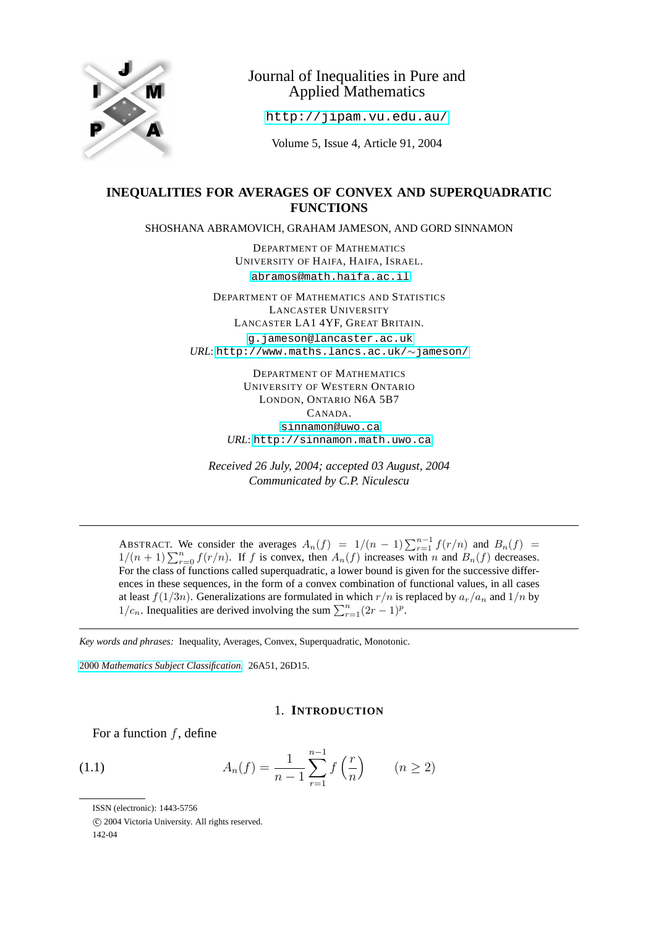

# Journal of Inequalities in Pure and Applied Mathematics

<http://jipam.vu.edu.au/>

Volume 5, Issue 4, Article 91, 2004

## **INEQUALITIES FOR AVERAGES OF CONVEX AND SUPERQUADRATIC FUNCTIONS**

SHOSHANA ABRAMOVICH, GRAHAM JAMESON, AND GORD SINNAMON

DEPARTMENT OF MATHEMATICS UNIVERSITY OF HAIFA, HAIFA, ISRAEL. [abramos@math.haifa.ac.il](mailto:abramos@math.haifa.ac.il)

DEPARTMENT OF MATHEMATICS AND STATISTICS LANCASTER UNIVERSITY LANCASTER LA1 4YF, GREAT BRITAIN. [g.jameson@lancaster.ac.uk](mailto:g.jameson@lancaster.ac.uk) *URL*: [http://www.maths.lancs.ac.uk/](http://www.maths.lancs.ac.uk/$sim $jameson/)∼jameson/

> DEPARTMENT OF MATHEMATICS UNIVERSITY OF WESTERN ONTARIO LONDON, ONTARIO N6A 5B7 CANADA. [sinnamon@uwo.ca](mailto:sinnamon@uwo.ca) *URL*: <http://sinnamon.math.uwo.ca>

*Received 26 July, 2004; accepted 03 August, 2004 Communicated by C.P. Niculescu*

ABSTRACT. We consider the averages  $A_n(f) = 1/(n-1) \sum_{r=1}^{n-1} f(r/n)$  and  $B_n(f) =$  $1/(n+1)\sum_{r=0}^{n} f(r/n)$ . If f is convex, then  $A_n(f)$  increases with n and  $B_n(f)$  decreases. For the class of functions called superquadratic, a lower bound is given for the successive differences in these sequences, in the form of a convex combination of functional values, in all cases at least  $f(1/3n)$ . Generalizations are formulated in which  $r/n$  is replaced by  $a_r/a_n$  and  $1/n$  by  $1/c_n$ . Inequalities are derived involving the sum  $\sum_{r=1}^{n} (2r-1)^p$ .

*Key words and phrases:* Inequality, Averages, Convex, Superquadratic, Monotonic.

2000 *[Mathematics Subject Classification.](http://www.ams.org/msc/)* 26A51, 26D15.

### <span id="page-0-0"></span>1. **INTRODUCTION**

For a function  $f$ , define

(1.1) 
$$
A_n(f) = \frac{1}{n-1} \sum_{r=1}^{n-1} f\left(\frac{r}{n}\right) \qquad (n \ge 2)
$$

ISSN (electronic): 1443-5756

c 2004 Victoria University. All rights reserved.

<sup>142-04</sup>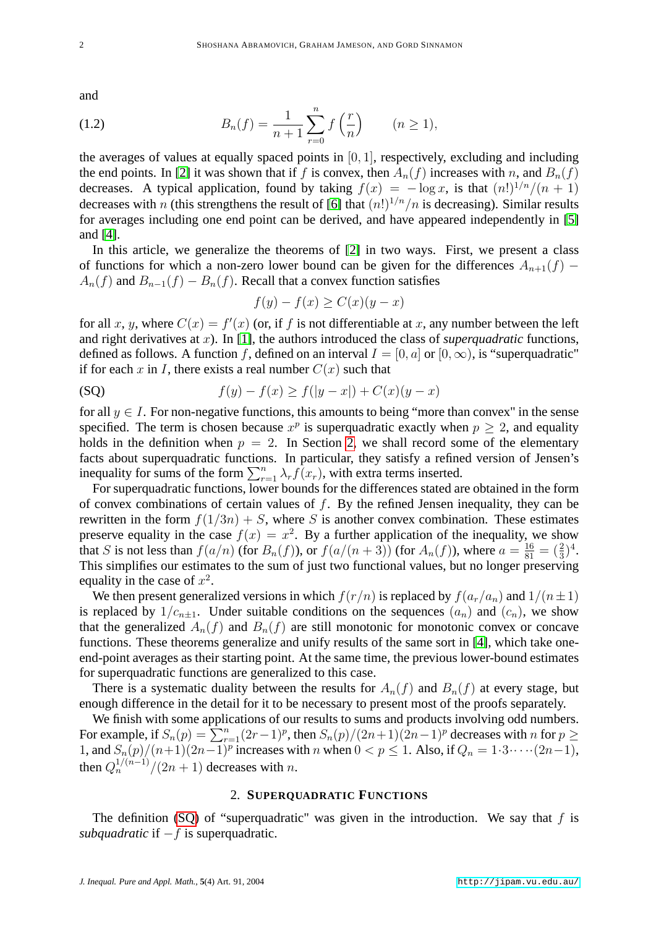<span id="page-1-2"></span>and

(1.2) 
$$
B_n(f) = \frac{1}{n+1} \sum_{r=0}^n f\left(\frac{r}{n}\right) \qquad (n \ge 1),
$$

the averages of values at equally spaced points in  $[0, 1]$ , respectively, excluding and including the end points. In [\[2\]](#page-13-0) it was shown that if f is convex, then  $A_n(f)$  increases with n, and  $B_n(f)$ decreases. A typical application, found by taking  $f(x) = -\log x$ , is that  $(n!)^{1/n}/(n+1)$ decreases with n (this strengthens the result of [\[6\]](#page-13-1) that  $(n!)^{1/n}/n$  is decreasing). Similar results for averages including one end point can be derived, and have appeared independently in [\[5\]](#page-13-2) and [\[4\]](#page-13-3).

In this article, we generalize the theorems of [\[2\]](#page-13-0) in two ways. First, we present a class of functions for which a non-zero lower bound can be given for the differences  $A_{n+1}(f)$  –  $A_n(f)$  and  $B_{n-1}(f) - B_n(f)$ . Recall that a convex function satisfies

<span id="page-1-1"></span>
$$
f(y) - f(x) \ge C(x)(y - x)
$$

for all x, y, where  $C(x) = f'(x)$  (or, if f is not differentiable at x, any number between the left and right derivatives at x). In [\[1\]](#page-13-4), the authors introduced the class of *superquadratic* functions, defined as follows. A function f, defined on an interval  $I = [0, a]$  or  $[0, \infty)$ , is "superquadratic" if for each x in I, there exists a real number  $C(x)$  such that

(SQ) 
$$
f(y) - f(x) \ge f(|y - x|) + C(x)(y - x)
$$

for all  $y \in I$ . For non-negative functions, this amounts to being "more than convex" in the sense specified. The term is chosen because  $x^p$  is superquadratic exactly when  $p \ge 2$ , and equality holds in the definition when  $p = 2$ . In Section [2,](#page-1-0) we shall record some of the elementary facts about superquadratic functions. In particular, they satisfy a refined version of Jensen's inequality for sums of the form  $\sum_{r=1}^{n} \lambda_r f(x_r)$ , with extra terms inserted.

For superquadratic functions, lower bounds for the differences stated are obtained in the form of convex combinations of certain values of  $f$ . By the refined Jensen inequality, they can be rewritten in the form  $f(1/3n) + S$ , where S is another convex combination. These estimates preserve equality in the case  $f(x) = x^2$ . By a further application of the inequality, we show that S is not less than  $f(a/n)$  (for  $B_n(f)$ ), or  $f(a/(n+3))$  (for  $A_n(f)$ ), where  $a = \frac{16}{81} = (\frac{2}{3})^4$ . This simplifies our estimates to the sum of just two functional values, but no longer preserving equality in the case of  $x^2$ .

We then present generalized versions in which  $f(r/n)$  is replaced by  $f(a_r/a_n)$  and  $1/(n\pm 1)$ is replaced by  $1/c_{n+1}$ . Under suitable conditions on the sequences  $(a_n)$  and  $(c_n)$ , we show that the generalized  $A_n(f)$  and  $B_n(f)$  are still monotonic for monotonic convex or concave functions. These theorems generalize and unify results of the same sort in [\[4\]](#page-13-3), which take oneend-point averages as their starting point. At the same time, the previous lower-bound estimates for superquadratic functions are generalized to this case.

There is a systematic duality between the results for  $A_n(f)$  and  $B_n(f)$  at every stage, but enough difference in the detail for it to be necessary to present most of the proofs separately.

We finish with some applications of our results to sums and products involving odd numbers. For example, if  $S_n(p) = \sum_{r=1}^n (2r-1)^p$ , then  $S_n(p)/(2n+1)(2n-1)^p$  decreases with n for  $p \ge$ 1, and  $S_n(p)/(n+1)(2n-1)^p$  increases with n when  $0 < p \le 1$ . Also, if  $Q_n = 1 \cdot 3 \cdots (2n-1)$ , then  $Q_n^{1/(n-1)}/(2n+1)$  decreases with n.

#### 2. **SUPERQUADRATIC FUNCTIONS**

<span id="page-1-0"></span>The definition [\(SQ\)](#page-1-1) of "superquadratic" was given in the introduction. We say that  $f$  is *subquadratic* if −f is superquadratic.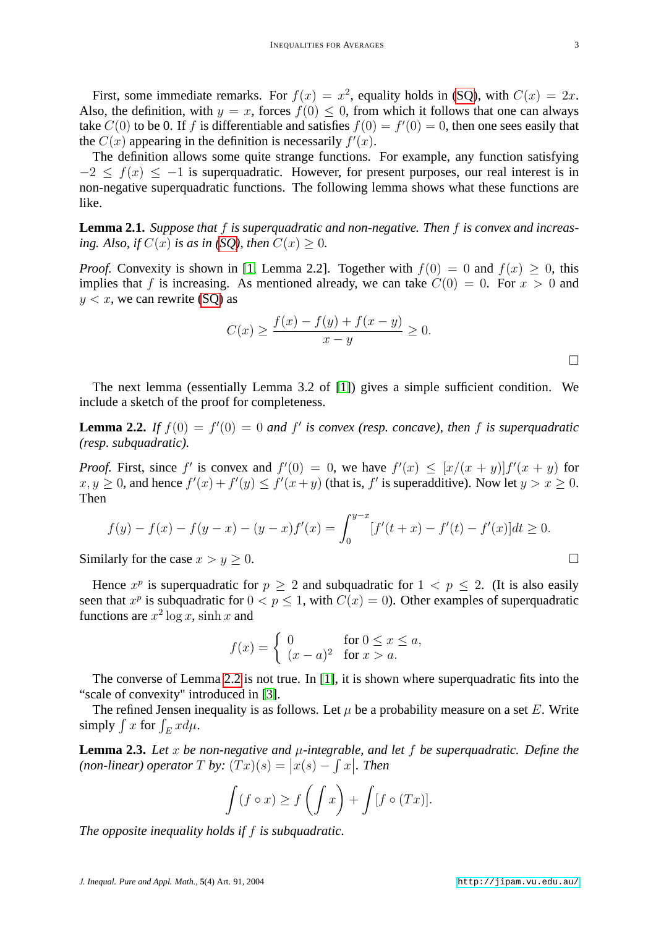First, some immediate remarks. For  $f(x) = x^2$ , equality holds in [\(SQ\)](#page-1-1), with  $C(x) = 2x$ . Also, the definition, with  $y = x$ , forces  $f(0) \le 0$ , from which it follows that one can always take  $C(0)$  to be 0. If f is differentiable and satisfies  $f(0) = f'(0) = 0$ , then one sees easily that the  $C(x)$  appearing in the definition is necessarily  $f'(x)$ .

The definition allows some quite strange functions. For example, any function satisfying  $-2 \le f(x) \le -1$  is superquadratic. However, for present purposes, our real interest is in non-negative superquadratic functions. The following lemma shows what these functions are like.

**Lemma 2.1.** *Suppose that* f *is superquadratic and non-negative. Then* f *is convex and increasing. Also, if*  $C(x)$  *is as in* (*SQ), then*  $C(x) > 0$ *.* 

*Proof.* Convexity is shown in [\[1,](#page-13-4) Lemma 2.2]. Together with  $f(0) = 0$  and  $f(x) > 0$ , this implies that f is increasing. As mentioned already, we can take  $C(0) = 0$ . For  $x > 0$  and  $y < x$ , we can rewrite (SO) as

$$
C(x) \ge \frac{f(x) - f(y) + f(x - y)}{x - y} \ge 0.
$$

The next lemma (essentially Lemma 3.2 of [\[1\]](#page-13-4)) gives a simple sufficient condition. We include a sketch of the proof for completeness.

<span id="page-2-0"></span>**Lemma 2.2.** If  $f(0) = f'(0) = 0$  and  $f'$  is convex (resp. concave), then f is superquadratic *(resp. subquadratic).*

*Proof.* First, since f' is convex and  $f'(0) = 0$ , we have  $f'(x) \leq [x/(x+y)]f'(x+y)$  for  $x, y \ge 0$ , and hence  $f'(x) + f'(y) \le f'(x+y)$  (that is, f' is superadditive). Now let  $y > x \ge 0$ . Then

$$
f(y) - f(x) - f(y - x) - (y - x)f'(x) = \int_0^{y - x} [f'(t + x) - f'(t) - f'(x)]dt \ge 0.
$$

Similarly for the case  $x > y > 0$ .

Hence  $x^p$  is superquadratic for  $p \ge 2$  and subquadratic for  $1 < p \le 2$ . (It is also easily seen that  $x^p$  is subquadratic for  $0 < p \le 1$ , with  $C(x) = 0$ ). Other examples of superquadratic functions are  $x^2 \log x$ , sinh x and

$$
f(x) = \begin{cases} 0 & \text{for } 0 \le x \le a, \\ (x - a)^2 & \text{for } x > a. \end{cases}
$$

The converse of Lemma [2.2](#page-2-0) is not true. In [\[1\]](#page-13-4), it is shown where superquadratic fits into the "scale of convexity" introduced in [\[3\]](#page-13-5).

The refined Jensen inequality is as follows. Let  $\mu$  be a probability measure on a set E. Write simply  $\int x$  for  $\int_E x d\mu$ .

<span id="page-2-1"></span>**Lemma 2.3.** Let x be non-negative and  $\mu$ -integrable, and let f be superquadratic. Define the (non-linear) operator  $T$  by:  $(Tx)(s) = |x(s) - \int x|$ . Then

$$
\int (f \circ x) \ge f\left(\int x\right) + \int [f \circ (Tx)].
$$

*The opposite inequality holds if* f *is subquadratic.*

 $\Box$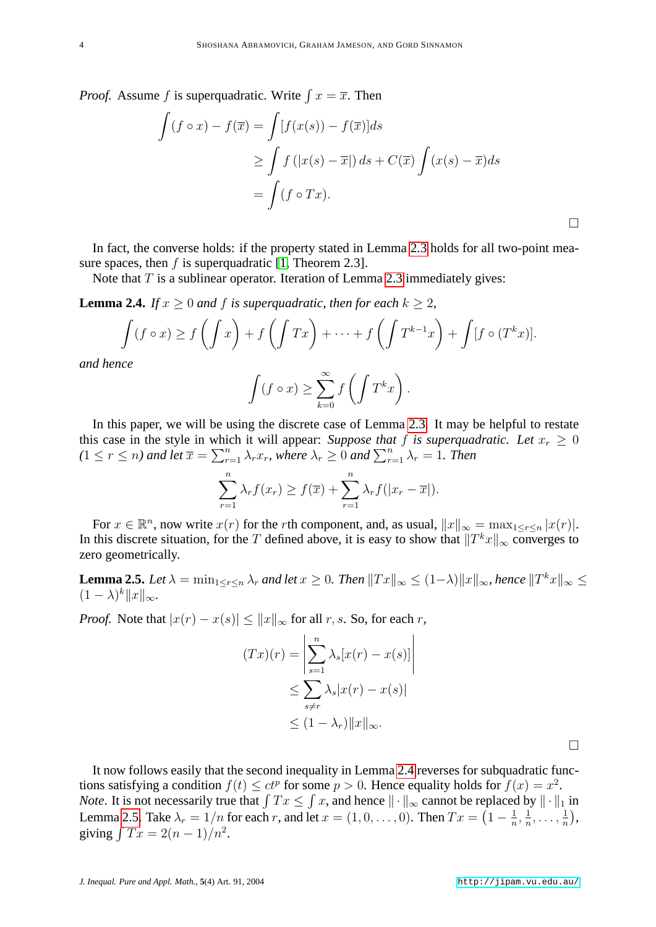*Proof.* Assume f is superquadratic. Write  $\int x = \overline{x}$ . Then

$$
\int (f \circ x) - f(\overline{x}) = \int [f(x(s)) - f(\overline{x})] ds
$$
  
\n
$$
\geq \int f(|x(s) - \overline{x}|) ds + C(\overline{x}) \int (x(s) - \overline{x}) ds
$$
  
\n
$$
= \int (f \circ Tx).
$$

In fact, the converse holds: if the property stated in Lemma [2.3](#page-2-1) holds for all two-point measure spaces, then f is superquadratic  $[1,$  Theorem 2.3].

Note that  $T$  is a sublinear operator. Iteration of Lemma [2.3](#page-2-1) immediately gives:

<span id="page-3-0"></span>**Lemma 2.4.** *If*  $x \geq 0$  *and*  $f$  *is superquadratic, then for each*  $k \geq 2$ *,* 

$$
\int (f \circ x) \ge f\left(\int x\right) + f\left(\int Tx\right) + \dots + f\left(\int T^{k-1}x\right) + \int [f \circ (T^k x)].
$$
  
nce

*and he* 

$$
\int (f \circ x) \ge \sum_{k=0}^{\infty} f\left(\int T^k x\right).
$$

In this paper, we will be using the discrete case of Lemma [2.3.](#page-2-1) It may be helpful to restate this case in the style in which it will appear: *Suppose that* f *is superquadratic. Let*  $x_r > 0$  $(1 \leq r \leq n)$  and let  $\overline{x} = \sum_{r=1}^{n} \lambda_r x_r$ , where  $\lambda_r \geq 0$  and  $\sum_{r=1}^{n} \lambda_r = 1$ . Then

$$
\sum_{r=1}^{n} \lambda_r f(x_r) \ge f(\overline{x}) + \sum_{r=1}^{n} \lambda_r f(|x_r - \overline{x}|).
$$

For  $x \in \mathbb{R}^n$ , now write  $x(r)$  for the rth component, and, as usual,  $||x||_{\infty} = \max_{1 \le r \le n} |x(r)|$ . In this discrete situation, for the T defined above, it is easy to show that  $||T^kx||_{\infty}$  converges to zero geometrically.

<span id="page-3-1"></span>**Lemma 2.5.** Let  $\lambda = \min_{1 \leq r \leq n} \lambda_r$  and let  $x \geq 0$ . Then  $||Tx||_{\infty} \leq (1-\lambda)||x||_{\infty}$ , hence  $||T^kx||_{\infty} \leq$  $(1 - \lambda)^k ||x||_{\infty}$ .

*Proof.* Note that  $|x(r) - x(s)| \le ||x||_{\infty}$  for all r, s. So, for each r,

$$
(Tx)(r) = \left| \sum_{s=1}^{n} \lambda_s [x(r) - x(s)] \right|
$$
  

$$
\leq \sum_{s \neq r} \lambda_s |x(r) - x(s)|
$$
  

$$
\leq (1 - \lambda_r) ||x||_{\infty}.
$$

It now follows easily that the second inequality in Lemma [2.4](#page-3-0) reverses for subquadratic functions satisfying a condition  $f(t) \leq ct^p$  for some  $p > 0$ . Hence equality holds for  $f(x) = x^2$ . *Note*. It is not necessarily true that  $\int Tx \leq \int x$ , and hence  $\|\cdot\|_\infty$  cannot be replaced by  $\|\cdot\|_1$  in Lemma [2.5.](#page-3-1) Take  $\lambda_r = 1/n$  for each r, and let  $x = (1, 0, \ldots, 0)$ . Then  $Tx = \left(1 - \frac{1}{n}\right)$  $\frac{1}{n}, \frac{1}{n}$  $\frac{1}{n}, \ldots, \frac{1}{n}$  $\frac{1}{n}$ , giving  $\int Tx = 2(n - 1)/n^2$ .

 $\Box$ 

 $\Box$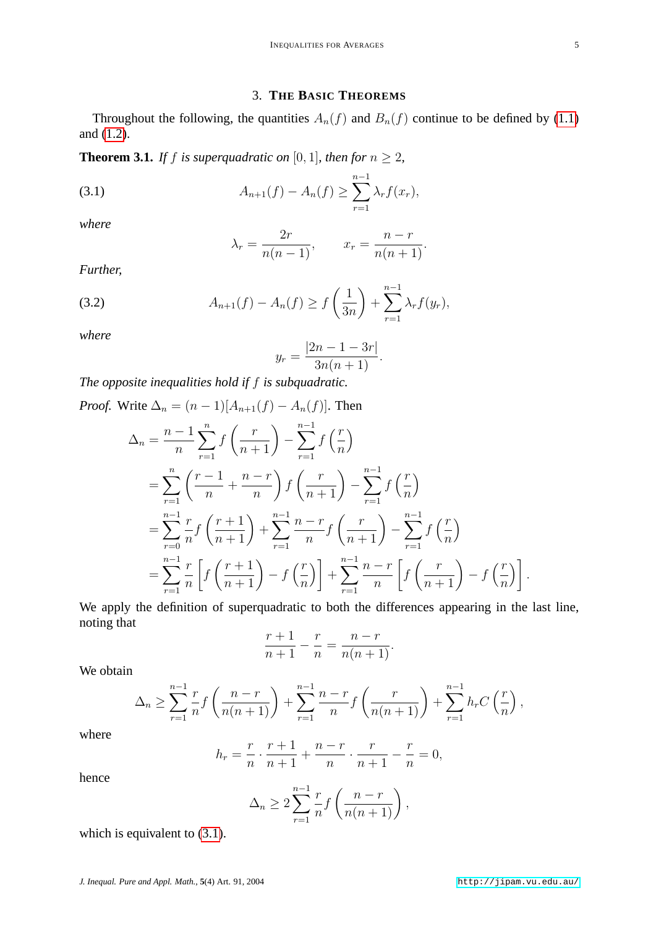## <span id="page-4-0"></span>3. **THE BASIC THEOREMS**

<span id="page-4-3"></span>Throughout the following, the quantities  $A_n(f)$  and  $B_n(f)$  continue to be defined by [\(1.1\)](#page-0-0) and [\(1.2\)](#page-1-2).

<span id="page-4-2"></span>**Theorem 3.1.** *If f is superquadratic on* [0, 1]*, then for*  $n \ge 2$ *,* 

(3.1) 
$$
A_{n+1}(f) - A_n(f) \geq \sum_{r=1}^{n-1} \lambda_r f(x_r),
$$

*where*

$$
\lambda_r = \frac{2r}{n(n-1)}, \qquad x_r = \frac{n-r}{n(n+1)}.
$$

<span id="page-4-1"></span>*Further,*

(3.2) 
$$
A_{n+1}(f) - A_n(f) \ge f\left(\frac{1}{3n}\right) + \sum_{r=1}^{n-1} \lambda_r f(y_r),
$$

*where*

$$
y_r = \frac{|2n - 1 - 3r|}{3n(n+1)}.
$$

*The opposite inequalities hold if* f *is subquadratic.*

Proof. Write 
$$
\Delta_n = (n-1)[A_{n+1}(f) - A_n(f)]
$$
. Then  
\n
$$
\Delta_n = \frac{n-1}{n} \sum_{r=1}^n f\left(\frac{r}{n+1}\right) - \sum_{r=1}^{n-1} f\left(\frac{r}{n}\right)
$$
\n
$$
= \sum_{r=1}^n \left(\frac{r-1}{n} + \frac{n-r}{n}\right) f\left(\frac{r}{n+1}\right) - \sum_{r=1}^{n-1} f\left(\frac{r}{n}\right)
$$
\n
$$
= \sum_{r=0}^{n-1} \frac{r}{n} f\left(\frac{r+1}{n+1}\right) + \sum_{r=1}^{n-1} \frac{n-r}{n} f\left(\frac{r}{n+1}\right) - \sum_{r=1}^{n-1} f\left(\frac{r}{n}\right)
$$
\n
$$
= \sum_{r=1}^{n-1} \frac{r}{n} \left[ f\left(\frac{r+1}{n+1}\right) - f\left(\frac{r}{n}\right) \right] + \sum_{r=1}^{n-1} \frac{n-r}{n} \left[ f\left(\frac{r}{n+1}\right) - f\left(\frac{r}{n}\right) \right].
$$

We apply the definition of superquadratic to both the differences appearing in the last line, noting that

$$
\frac{r+1}{n+1} - \frac{r}{n} = \frac{n-r}{n(n+1)}.
$$

We obtain

$$
\Delta_n \ge \sum_{r=1}^{n-1} \frac{r}{n} f\left(\frac{n-r}{n(n+1)}\right) + \sum_{r=1}^{n-1} \frac{n-r}{n} f\left(\frac{r}{n(n+1)}\right) + \sum_{r=1}^{n-1} h_r C\left(\frac{r}{n}\right),
$$

where

$$
h_r = \frac{r}{n} \cdot \frac{r+1}{n+1} + \frac{n-r}{n} \cdot \frac{r}{n+1} - \frac{r}{n} = 0,
$$

hence

$$
\Delta_n \ge 2 \sum_{r=1}^{n-1} \frac{r}{n} f\left(\frac{n-r}{n(n+1)}\right),\,
$$

which is equivalent to  $(3.1)$ .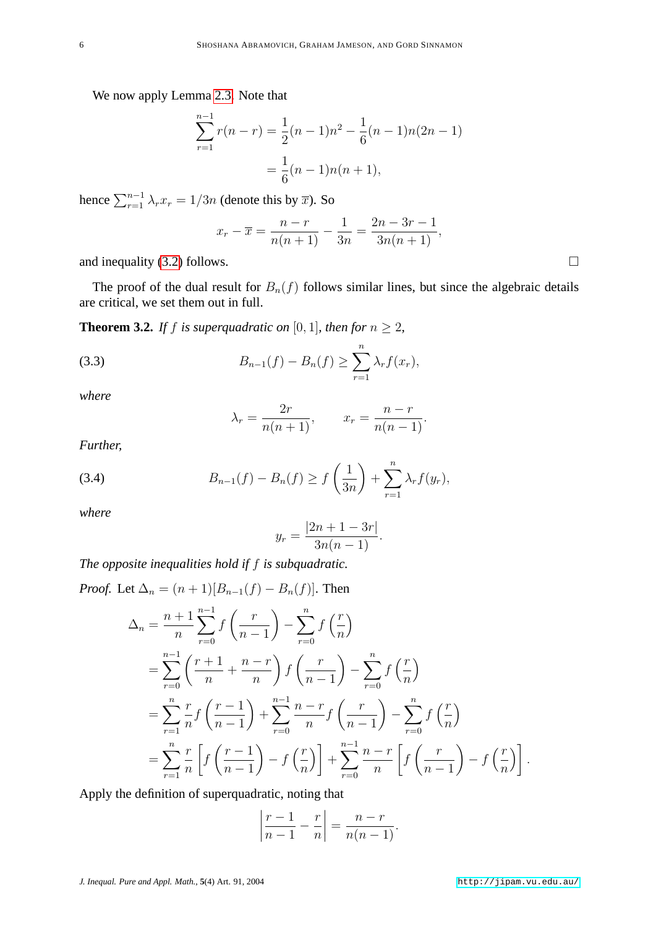We now apply Lemma [2.3.](#page-2-1) Note that

$$
\sum_{r=1}^{n-1} r(n-r) = \frac{1}{2}(n-1)n^2 - \frac{1}{6}(n-1)n(2n-1)
$$

$$
= \frac{1}{6}(n-1)n(n+1),
$$

hence  $\sum_{r=1}^{n-1} \lambda_r x_r = 1/3n$  (denote this by  $\overline{x}$ ). So

$$
x_r - \overline{x} = \frac{n-r}{n(n+1)} - \frac{1}{3n} = \frac{2n - 3r - 1}{3n(n+1)},
$$

and inequality [\(3.2\)](#page-4-1) follows.  $\Box$ 

The proof of the dual result for  $B_n(f)$  follows similar lines, but since the algebraic details are critical, we set them out in full.

<span id="page-5-2"></span>**Theorem 3.2.** *If f is superquadratic on* [0, 1]*, then for*  $n \geq 2$ *,* 

(3.3) 
$$
B_{n-1}(f) - B_n(f) \ge \sum_{r=1}^n \lambda_r f(x_r),
$$

*where*

$$
\lambda_r = \frac{2r}{n(n+1)}, \qquad x_r = \frac{n-r}{n(n-1)}.
$$

<span id="page-5-1"></span>*Further,*

(3.4) 
$$
B_{n-1}(f) - B_n(f) \ge f\left(\frac{1}{3n}\right) + \sum_{r=1}^n \lambda_r f(y_r),
$$

*where*

$$
y_r = \frac{|2n + 1 - 3r|}{3n(n - 1)}.
$$

*The opposite inequalities hold if* f *is subquadratic.*

*Proof.* Let  $\Delta_n = (n+1)[B_{n-1}(f) - B_n(f)]$ . Then

$$
\Delta_n = \frac{n+1}{n} \sum_{r=0}^{n-1} f\left(\frac{r}{n-1}\right) - \sum_{r=0}^n f\left(\frac{r}{n}\right)
$$
  
= 
$$
\sum_{r=0}^{n-1} \left(\frac{r+1}{n} + \frac{n-r}{n}\right) f\left(\frac{r}{n-1}\right) - \sum_{r=0}^n f\left(\frac{r}{n}\right)
$$
  
= 
$$
\sum_{r=1}^n \frac{r}{n} f\left(\frac{r-1}{n-1}\right) + \sum_{r=0}^{n-1} \frac{n-r}{n} f\left(\frac{r}{n-1}\right) - \sum_{r=0}^n f\left(\frac{r}{n}\right)
$$
  
= 
$$
\sum_{r=1}^n \frac{r}{n} \left[ f\left(\frac{r-1}{n-1}\right) - f\left(\frac{r}{n}\right) \right] + \sum_{r=0}^{n-1} \frac{n-r}{n} \left[ f\left(\frac{r}{n-1}\right) - f\left(\frac{r}{n}\right) \right].
$$

Apply the definition of superquadratic, noting that

$$
\left|\frac{r-1}{n-1}-\frac{r}{n}\right|=\frac{n-r}{n(n-1)}.
$$

<span id="page-5-0"></span>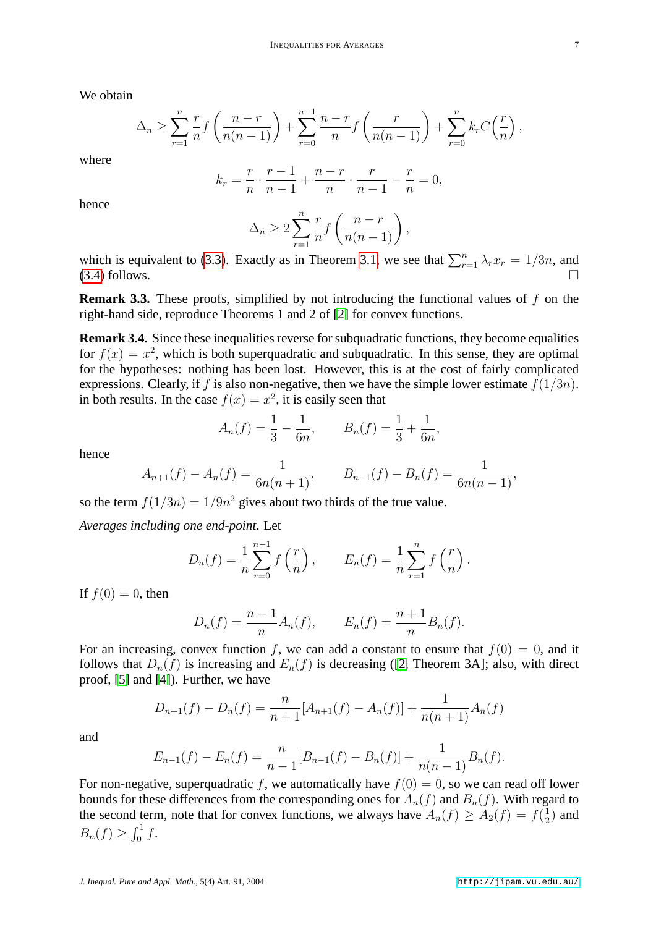We obtain

$$
\Delta_n \ge \sum_{r=1}^n \frac{r}{n} f\left(\frac{n-r}{n(n-1)}\right) + \sum_{r=0}^{n-1} \frac{n-r}{n} f\left(\frac{r}{n(n-1)}\right) + \sum_{r=0}^n k_r C\left(\frac{r}{n}\right),
$$

where

$$
k_r = \frac{r}{n} \cdot \frac{r-1}{n-1} + \frac{n-r}{n} \cdot \frac{r}{n-1} - \frac{r}{n} = 0,
$$

hence

$$
\Delta_n \ge 2 \sum_{r=1}^n \frac{r}{n} f\left(\frac{n-r}{n(n-1)}\right),\,
$$

which is equivalent to [\(3.3\)](#page-5-0). Exactly as in Theorem [3.1,](#page-4-2) we see that  $\sum_{r=1}^{n} \lambda_r x_r = 1/3n$ , and  $(3.4)$  follows.

**Remark 3.3.** These proofs, simplified by not introducing the functional values of f on the right-hand side, reproduce Theorems 1 and 2 of [\[2\]](#page-13-0) for convex functions.

**Remark 3.4.** Since these inequalities reverse for subquadratic functions, they become equalities for  $f(x) = x^2$ , which is both superquadratic and subquadratic. In this sense, they are optimal for the hypotheses: nothing has been lost. However, this is at the cost of fairly complicated expressions. Clearly, if f is also non-negative, then we have the simple lower estimate  $f(1/3n)$ . in both results. In the case  $f(x) = x^2$ , it is easily seen that

$$
A_n(f) = \frac{1}{3} - \frac{1}{6n}, \qquad B_n(f) = \frac{1}{3} + \frac{1}{6n},
$$

hence

$$
A_{n+1}(f) - A_n(f) = \frac{1}{6n(n+1)}, \qquad B_{n-1}(f) - B_n(f) = \frac{1}{6n(n-1)},
$$

so the term  $f(1/3n) = 1/9n^2$  gives about two thirds of the true value.

*Averages including one end-point*. Let

$$
D_n(f) = \frac{1}{n} \sum_{r=0}^{n-1} f\left(\frac{r}{n}\right), \qquad E_n(f) = \frac{1}{n} \sum_{r=1}^{n} f\left(\frac{r}{n}\right).
$$

If  $f(0) = 0$ , then

$$
D_n(f) = \frac{n-1}{n} A_n(f), \qquad E_n(f) = \frac{n+1}{n} B_n(f).
$$

For an increasing, convex function f, we can add a constant to ensure that  $f(0) = 0$ , and it follows that  $D_n(f)$  is increasing and  $E_n(f)$  is decreasing ([\[2,](#page-13-0) Theorem 3A]; also, with direct proof, [\[5\]](#page-13-2) and [\[4\]](#page-13-3)). Further, we have

$$
D_{n+1}(f) - D_n(f) = \frac{n}{n+1} [A_{n+1}(f) - A_n(f)] + \frac{1}{n(n+1)} A_n(f)
$$

and

$$
E_{n-1}(f) - E_n(f) = \frac{n}{n-1} [B_{n-1}(f) - B_n(f)] + \frac{1}{n(n-1)} B_n(f).
$$

For non-negative, superquadratic f, we automatically have  $f(0) = 0$ , so we can read off lower bounds for these differences from the corresponding ones for  $A_n(f)$  and  $B_n(f)$ . With regard to the second term, note that for convex functions, we always have  $A_n(f) \ge A_2(f) = f(\frac{1}{2})$  $(\frac{1}{2})$  and  $B_n(f) \geq \int_0^1 f$ .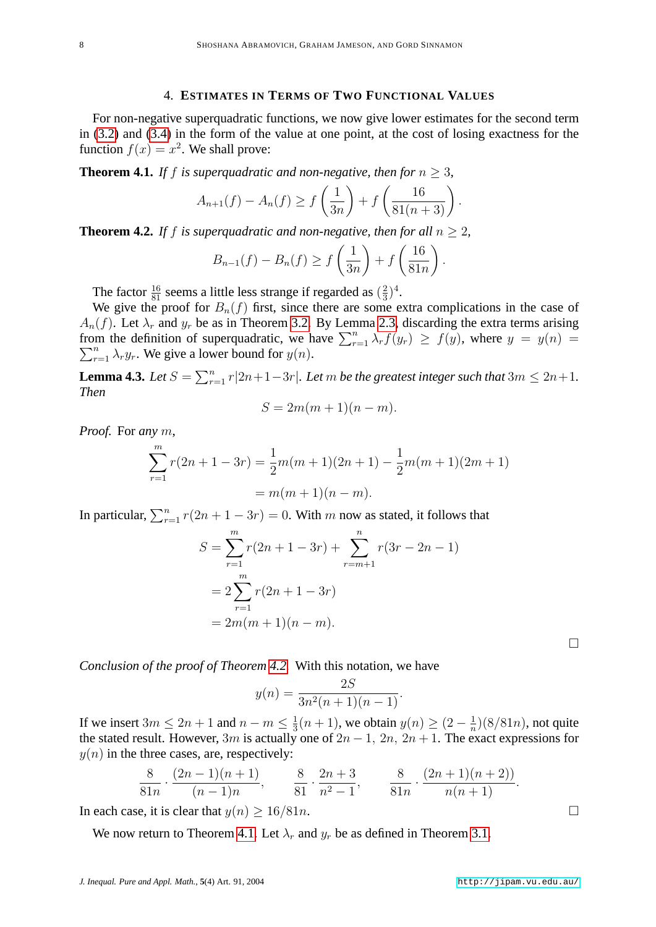### 4. **ESTIMATES IN TERMS OF TWO FUNCTIONAL VALUES**

For non-negative superquadratic functions, we now give lower estimates for the second term in [\(3.2\)](#page-4-1) and [\(3.4\)](#page-5-1) in the form of the value at one point, at the cost of losing exactness for the function  $f(x) = x^2$ . We shall prove:

<span id="page-7-1"></span>**Theorem 4.1.** *If f is superquadratic and non-negative, then for*  $n \geq 3$ *,* 

$$
A_{n+1}(f) - A_n(f) \ge f\left(\frac{1}{3n}\right) + f\left(\frac{16}{81(n+3)}\right).
$$

<span id="page-7-0"></span>**Theorem 4.2.** If f is superquadratic and non-negative, then for all  $n > 2$ ,

$$
B_{n-1}(f) - B_n(f) \ge f\left(\frac{1}{3n}\right) + f\left(\frac{16}{81n}\right).
$$

The factor  $\frac{16}{81}$  seems a little less strange if regarded as  $(\frac{2}{3})$  $(\frac{2}{3})^4$ .

We give the proof for  $B_n(f)$  first, since there are some extra complications in the case of  $A_n(f)$ . Let  $\lambda_r$  and  $y_r$  be as in Theorem [3.2.](#page-5-2) By Lemma [2.3,](#page-2-1) discarding the extra terms arising from the definition of superquadratic, we have  $\sum_{r=1}^{n} \lambda_r f(y_r) \geq f(y)$ , where  $y = y(n)$  $\sum_{r=1}^{n} \lambda_r y_r$ . We give a lower bound for  $y(n)$ .

<span id="page-7-2"></span>**Lemma 4.3.** Let  $S = \sum_{r=1}^{n} r|2n+1-3r|$ . Let m be the greatest integer such that  $3m \leq 2n+1$ . *Then*

$$
S = 2m(m+1)(n-m).
$$

*Proof.* For *any* m,

$$
\sum_{r=1}^{m} r(2n + 1 - 3r) = \frac{1}{2}m(m+1)(2n+1) - \frac{1}{2}m(m+1)(2m+1)
$$

$$
= m(m+1)(n-m).
$$

In particular,  $\sum_{r=1}^{n} r(2n + 1 - 3r) = 0$ . With m now as stated, it follows that

$$
S = \sum_{r=1}^{m} r(2n + 1 - 3r) + \sum_{r=m+1}^{n} r(3r - 2n - 1)
$$
  
= 
$$
2 \sum_{r=1}^{m} r(2n + 1 - 3r)
$$
  
= 
$$
2m(m + 1)(n - m).
$$

 $\Box$ 

*Conclusion of the proof of Theorem [4.2.](#page-7-0)* With this notation, we have

$$
y(n) = \frac{2S}{3n^2(n+1)(n-1)}.
$$

If we insert  $3m \leq 2n+1$  and  $n-m \leq \frac{1}{3}$  $\frac{1}{3}(n+1)$ , we obtain  $y(n) \geq (2 - \frac{1}{n})$  $\frac{1}{n}$  $)(8/81n)$ , not quite the stated result. However, 3m is actually one of  $2n - 1$ ,  $2n$ ,  $2n + 1$ . The exact expressions for  $y(n)$  in the three cases, are, respectively:

$$
\frac{8}{81n} \cdot \frac{(2n-1)(n+1)}{(n-1)n}, \qquad \frac{8}{81} \cdot \frac{2n+3}{n^2-1}, \qquad \frac{8}{81n} \cdot \frac{(2n+1)(n+2)}{n(n+1)}.
$$

In each case, it is clear that  $y(n) \ge 16/81n$ .

We now return to Theorem [4.1.](#page-7-1) Let  $\lambda_r$  and  $y_r$  be as defined in Theorem [3.1.](#page-4-2)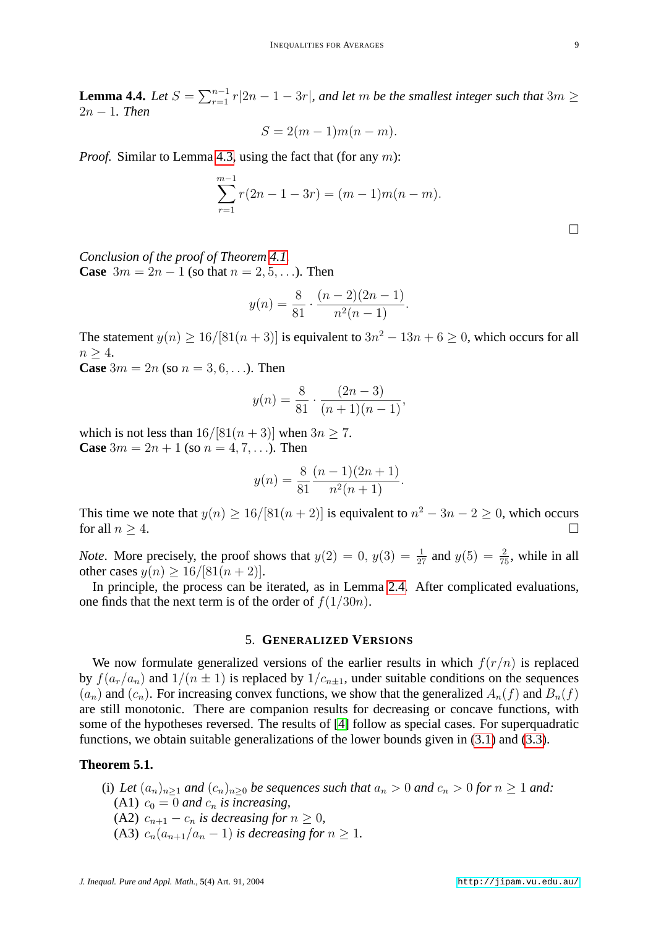**Lemma 4.4.** Let  $S = \sum_{r=1}^{n-1} r|2n - 1 - 3r|$ , and let m be the smallest integer such that  $3m \geq$ 2n − 1*. Then*

$$
S = 2(m-1)m(n-m).
$$

*Proof.* Similar to Lemma [4.3,](#page-7-2) using the fact that (for any m):

$$
\sum_{r=1}^{m-1} r(2n - 1 - 3r) = (m-1)m(n - m).
$$

 $\Box$ 

*Conclusion of the proof of Theorem [4.1.](#page-7-1)* **Case**  $3m = 2n - 1$  (so that  $n = 2, 5, ...$ ). Then

$$
y(n) = \frac{8}{81} \cdot \frac{(n-2)(2n-1)}{n^2(n-1)}.
$$

The statement  $y(n) \ge 16/[81(n+3)]$  is equivalent to  $3n^2 - 13n + 6 \ge 0$ , which occurs for all  $n > 4$ .

**Case**  $3m = 2n$  (so  $n = 3, 6, ...$ ). Then

$$
y(n) = \frac{8}{81} \cdot \frac{(2n-3)}{(n+1)(n-1)},
$$

which is not less than  $16/[81(n+3)]$  when  $3n \ge 7$ . **Case**  $3m = 2n + 1$  (so  $n = 4, 7, ...$ ). Then

$$
y(n) = \frac{8}{81} \frac{(n-1)(2n+1)}{n^2(n+1)}.
$$

This time we note that  $y(n) \ge 16/[81(n+2)]$  is equivalent to  $n^2 - 3n - 2 \ge 0$ , which occurs for all  $n \geq 4$ .

*Note*. More precisely, the proof shows that  $y(2) = 0$ ,  $y(3) = \frac{1}{27}$  and  $y(5) = \frac{2}{75}$ , while in all other cases  $y(n) \ge 16/[81(n+2)]$ .

In principle, the process can be iterated, as in Lemma [2.4.](#page-3-0) After complicated evaluations, one finds that the next term is of the order of  $f(1/30n)$ .

#### 5. **GENERALIZED VERSIONS**

We now formulate generalized versions of the earlier results in which  $f(r/n)$  is replaced by  $f(a_r/a_n)$  and  $1/(n \pm 1)$  is replaced by  $1/c_{n \pm 1}$ , under suitable conditions on the sequences  $(a_n)$  and  $(c_n)$ . For increasing convex functions, we show that the generalized  $A_n(f)$  and  $B_n(f)$ are still monotonic. There are companion results for decreasing or concave functions, with some of the hypotheses reversed. The results of [\[4\]](#page-13-3) follow as special cases. For superquadratic functions, we obtain suitable generalizations of the lower bounds given in [\(3.1\)](#page-4-0) and [\(3.3\)](#page-5-0).

#### <span id="page-8-0"></span>**Theorem 5.1.**

(i) Let  $(a_n)_{n\geq 1}$  and  $(c_n)_{n\geq 0}$  be sequences such that  $a_n > 0$  and  $c_n > 0$  for  $n \geq 1$  and: (A1)  $c_0 = 0$  *and*  $c_n$  *is increasing*, (A2)  $c_{n+1} - c_n$  *is decreasing for*  $n \geq 0$ *,* (A3)  $c_n(a_{n+1}/a_n - 1)$  *is decreasing for*  $n \geq 1$ *.*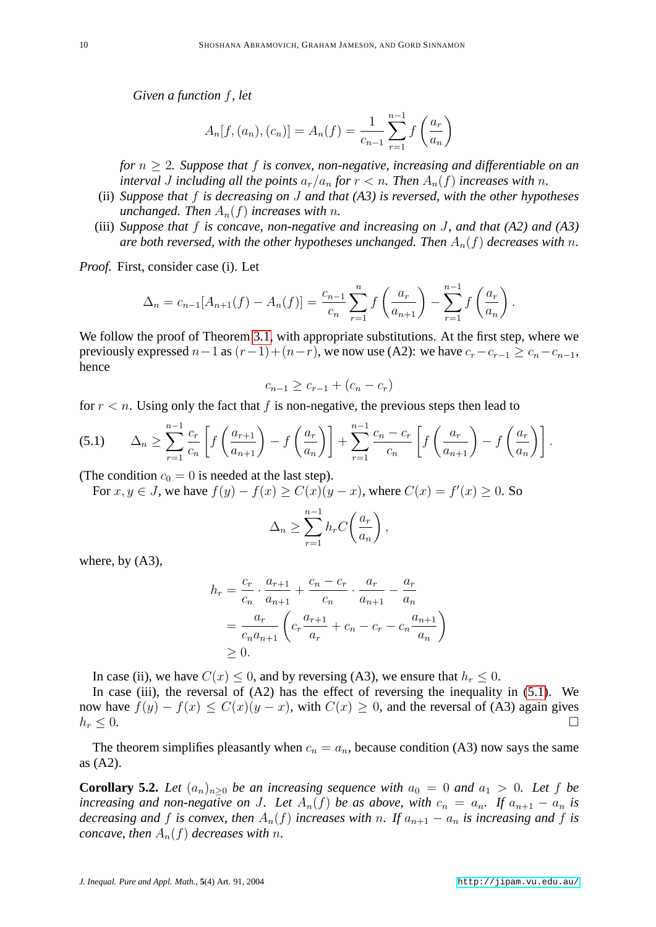*Given a function* f*, let*

$$
A_n[f,(a_n),(c_n)] = A_n(f) = \frac{1}{c_{n-1}} \sum_{r=1}^{n-1} f\left(\frac{a_r}{a_n}\right)
$$

*for* n ≥ 2*. Suppose that* f *is convex, non-negative, increasing and differentiable on an interval J including all the points*  $a_r/a_n$  *for*  $r < n$ *. Then*  $A_n(f)$  *increases with* n.

- (ii) *Suppose that* f *is decreasing on* J *and that (A3) is reversed, with the other hypotheses unchanged. Then*  $A_n(f)$  *increases with n*.
- (iii) *Suppose that* f *is concave, non-negative and increasing on* J*, and that (A2) and (A3) are both reversed, with the other hypotheses unchanged. Then*  $A_n(f)$  *decreases with* n.

*Proof.* First, consider case (i). Let

$$
\Delta_n = c_{n-1}[A_{n+1}(f) - A_n(f)] = \frac{c_{n-1}}{c_n} \sum_{r=1}^n f\left(\frac{a_r}{a_{n+1}}\right) - \sum_{r=1}^{n-1} f\left(\frac{a_r}{a_n}\right).
$$

We follow the proof of Theorem [3.1,](#page-4-2) with appropriate substitutions. At the first step, where we previously expressed  $n-1$  as  $(r-1)+(n-r)$ , we now use (A2): we have  $c_r-c_{r-1} \ge c_n-c_{n-1}$ , hence

<span id="page-9-0"></span>
$$
c_{n-1} \ge c_{r-1} + (c_n - c_r)
$$

for  $r < n$ . Using only the fact that f is non-negative, the previous steps then lead to

$$
(5.1) \qquad \Delta_n \ge \sum_{r=1}^{n-1} \frac{c_r}{c_n} \left[ f\left(\frac{a_{r+1}}{a_{n+1}}\right) - f\left(\frac{a_r}{a_n}\right) \right] + \sum_{r=1}^{n-1} \frac{c_n - c_r}{c_n} \left[ f\left(\frac{a_r}{a_{n+1}}\right) - f\left(\frac{a_r}{a_n}\right) \right].
$$

(The condition  $c_0 = 0$  is needed at the last step).

For  $x, y \in J$ , we have  $f(y) - f(x) \ge C(x)(y - x)$ , where  $C(x) = f'(x) \ge 0$ . So

$$
\Delta_n \ge \sum_{r=1}^{n-1} h_r C\left(\frac{a_r}{a_n}\right),\,
$$

where, by (A3),

$$
h_r = \frac{c_r}{c_n} \cdot \frac{a_{r+1}}{a_{n+1}} + \frac{c_n - c_r}{c_n} \cdot \frac{a_r}{a_{n+1}} - \frac{a_r}{a_n}
$$
  
= 
$$
\frac{a_r}{c_n a_{n+1}} \left( c_r \frac{a_{r+1}}{a_r} + c_n - c_r - c_n \frac{a_{n+1}}{a_n} \right)
$$
  
 $\geq 0.$ 

In case (ii), we have  $C(x) \leq 0$ , and by reversing (A3), we ensure that  $h_r \leq 0$ .

In case (iii), the reversal of  $(A2)$  has the effect of reversing the inequality in  $(5.1)$ . We now have  $f(y) - f(x) \le C(x)(y - x)$ , with  $C(x) \ge 0$ , and the reversal of (A3) again gives  $h_r \leq 0.$ 

The theorem simplifies pleasantly when  $c_n = a_n$ , because condition (A3) now says the same as (A2).

<span id="page-9-1"></span>**Corollary 5.2.** Let  $(a_n)_{n>0}$  be an increasing sequence with  $a_0 = 0$  and  $a_1 > 0$ . Let f be *increasing and non-negative on* J. Let  $A_n(f)$  be as above, with  $c_n = a_n$ . If  $a_{n+1} - a_n$  is *decreasing and* f *is convex, then*  $A_n(f)$  *increases with* n. If  $a_{n+1} - a_n$  *is increasing and* f *is concave, then*  $A_n(f)$  *decreases with n*.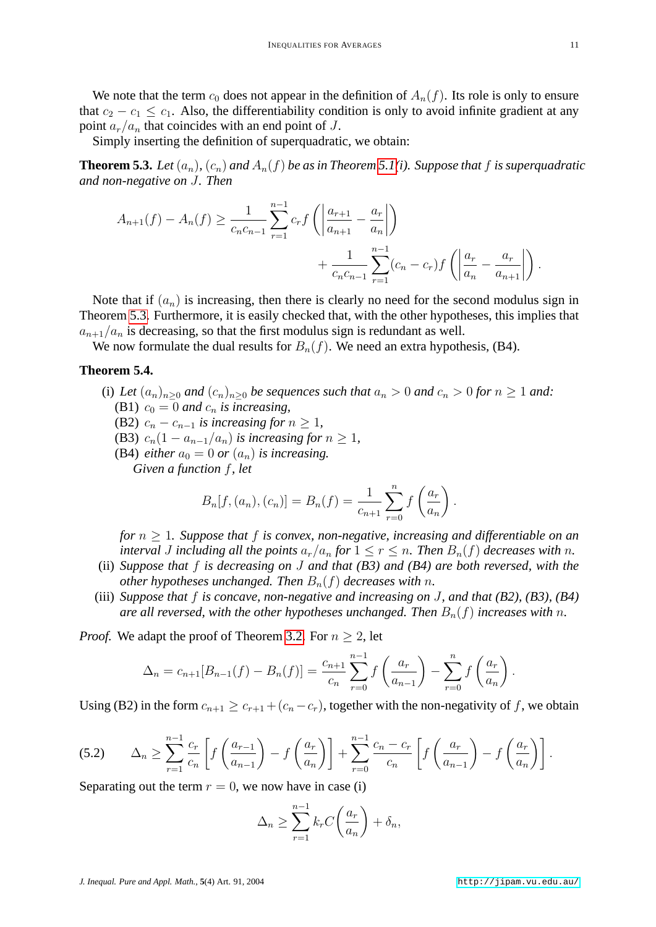We note that the term  $c_0$  does not appear in the definition of  $A_n(f)$ . Its role is only to ensure that  $c_2 - c_1 \leq c_1$ . Also, the differentiability condition is only to avoid infinite gradient at any point  $a_r/a_n$  that coincides with an end point of J.

Simply inserting the definition of superquadratic, we obtain:

<span id="page-10-0"></span>**Theorem 5.3.** Let  $(a_n)$ ,  $(c_n)$  and  $A_n(f)$  be as in Theorem [5.1\(](#page-8-0)*i*). Suppose that f *is superquadratic and non-negative on* J*. Then*

$$
A_{n+1}(f) - A_n(f) \ge \frac{1}{c_n c_{n-1}} \sum_{r=1}^{n-1} c_r f\left(\left|\frac{a_{r+1}}{a_{n+1}} - \frac{a_r}{a_n}\right|\right) + \frac{1}{c_n c_{n-1}} \sum_{r=1}^{n-1} (c_n - c_r) f\left(\left|\frac{a_r}{a_n} - \frac{a_r}{a_{n+1}}\right|\right).
$$

Note that if  $(a_n)$  is increasing, then there is clearly no need for the second modulus sign in Theorem [5.3.](#page-10-0) Furthermore, it is easily checked that, with the other hypotheses, this implies that  $a_{n+1}/a_n$  is decreasing, so that the first modulus sign is redundant as well.

We now formulate the dual results for  $B_n(f)$ . We need an extra hypothesis, (B4).

## <span id="page-10-2"></span>**Theorem 5.4.**

- (i) Let  $(a_n)_{n>0}$  and  $(c_n)_{n>0}$  be sequences such that  $a_n > 0$  and  $c_n > 0$  for  $n \ge 1$  and: (B1)  $c_0 = 0$  *and*  $c_n$  *is increasing,* 
	- (B2)  $c_n c_{n-1}$  *is increasing for*  $n \geq 1$ ,
	- (B3)  $c_n(1 a_{n-1}/a_n)$  *is increasing for*  $n \geq 1$ *,*
	- (B4) *either*  $a_0 = 0$  *or*  $(a_n)$  *is increasing.*

*Given a function* f*, let*

$$
B_n[f,(a_n),(c_n)] = B_n(f) = \frac{1}{c_{n+1}} \sum_{r=0}^n f\left(\frac{a_r}{a_n}\right).
$$

*for*  $n \geq 1$ *. Suppose that*  $f$  *is convex, non-negative, increasing and differentiable on an interval J including all the points*  $a_r/a_n$  *for*  $1 \le r \le n$ *. Then*  $B_n(f)$  *decreases with n*.

- (ii) *Suppose that* f *is decreasing on* J *and that (B3) and (B4) are both reversed, with the other hypotheses unchanged. Then*  $B_n(f)$  *decreases with* n.
- (iii) *Suppose that* f *is concave, non-negative and increasing on* J*, and that (B2), (B3), (B4) are all reversed, with the other hypotheses unchanged. Then*  $B_n(f)$  *increases with* n.

*Proof.* We adapt the proof of Theorem [3.2.](#page-5-2) For  $n \geq 2$ , let

$$
\Delta_n = c_{n+1}[B_{n-1}(f) - B_n(f)] = \frac{c_{n+1}}{c_n} \sum_{r=0}^{n-1} f\left(\frac{a_r}{a_{n-1}}\right) - \sum_{r=0}^n f\left(\frac{a_r}{a_n}\right).
$$

<span id="page-10-1"></span>Using (B2) in the form  $c_{n+1} > c_{r+1} + (c_n - c_r)$ , together with the non-negativity of f, we obtain

$$
(5.2) \qquad \Delta_n \ge \sum_{r=1}^{n-1} \frac{c_r}{c_n} \left[ f\left(\frac{a_{r-1}}{a_{n-1}}\right) - f\left(\frac{a_r}{a_n}\right) \right] + \sum_{r=0}^{n-1} \frac{c_n - c_r}{c_n} \left[ f\left(\frac{a_r}{a_{n-1}}\right) - f\left(\frac{a_r}{a_n}\right) \right].
$$

Separating out the term  $r = 0$ , we now have in case (i)

$$
\Delta_n \ge \sum_{r=1}^{n-1} k_r C\left(\frac{a_r}{a_n}\right) + \delta_n,
$$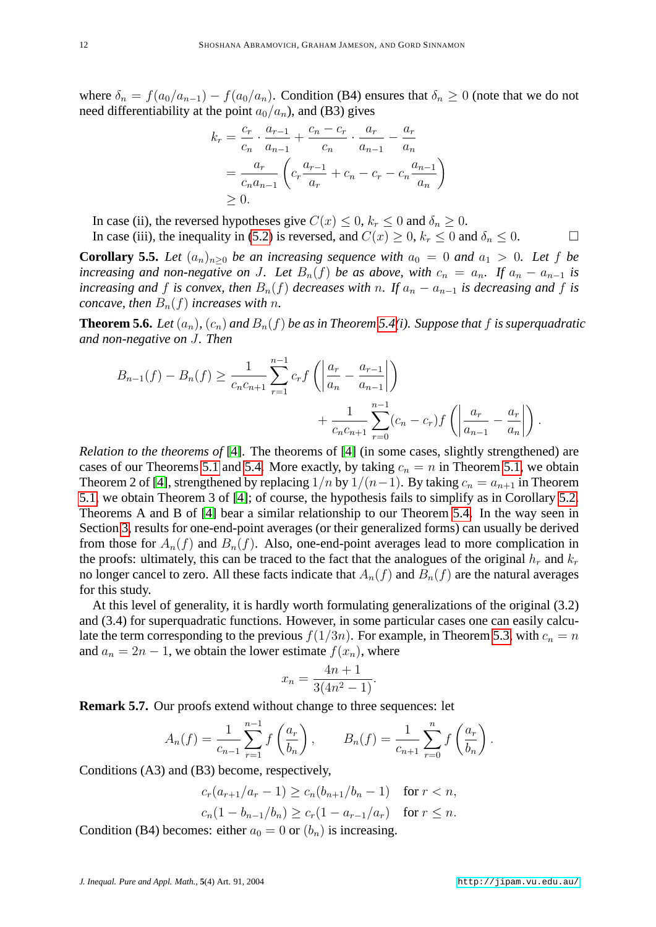where  $\delta_n = f(a_0/a_{n-1}) - f(a_0/a_n)$ . Condition (B4) ensures that  $\delta_n \geq 0$  (note that we do not need differentiability at the point  $a_0/a_n$ ), and (B3) gives

$$
k_r = \frac{c_r}{c_n} \cdot \frac{a_{r-1}}{a_{n-1}} + \frac{c_n - c_r}{c_n} \cdot \frac{a_r}{a_{n-1}} - \frac{a_r}{a_n}
$$
  
= 
$$
\frac{a_r}{c_n a_{n-1}} \left( c_r \frac{a_{r-1}}{a_r} + c_n - c_r - c_n \frac{a_{n-1}}{a_n} \right)
$$
  
 $\geq 0.$ 

In case (ii), the reversed hypotheses give  $C(x) \leq 0$ ,  $k_r \leq 0$  and  $\delta_n \geq 0$ .

In case (iii), the inequality in [\(5.2\)](#page-10-1) is reversed, and  $C(x) \ge 0$ ,  $k_r \le 0$  and  $\delta_n \le 0$ . **Corollary 5.5.** Let  $(a_n)_{n>0}$  be an increasing sequence with  $a_0 = 0$  and  $a_1 > 0$ . Let f be

<span id="page-11-0"></span>*increasing and non-negative on* J. Let  $B_n(f)$  be as above, with  $c_n = a_n$ . If  $a_n - a_{n-1}$  is *increasing and* f *is convex, then*  $B_n(f)$  *decreases with* n. If  $a_n - a_{n-1}$  *is decreasing and* f *is concave, then*  $B_n(f)$  *increases with n.* 

**Theorem 5.6.** *Let*  $(a_n)$ *,*  $(c_n)$  *and*  $B_n(f)$  *be as in Theorem* [5.4\(](#page-10-2)*i*). Suppose that f *is superquadratic and non-negative on* J*. Then*

$$
B_{n-1}(f) - B_n(f) \ge \frac{1}{c_n c_{n+1}} \sum_{r=1}^{n-1} c_r f\left(\left|\frac{a_r}{a_n} - \frac{a_{r-1}}{a_{n-1}}\right|\right) + \frac{1}{c_n c_{n+1}} \sum_{r=0}^{n-1} (c_n - c_r) f\left(\left|\frac{a_r}{a_{n-1}} - \frac{a_r}{a_n}\right|\right).
$$

*Relation to the theorems of* [\[4\]](#page-13-3). The theorems of [\[4\]](#page-13-3) (in some cases, slightly strengthened) are cases of our Theorems [5.1](#page-8-0) and [5.4.](#page-10-2) More exactly, by taking  $c_n = n$  in Theorem [5.1,](#page-8-0) we obtain Theorem 2 of [\[4\]](#page-13-3), strengthened by replacing  $1/n$  by  $1/(n-1)$ . By taking  $c_n = a_{n+1}$  in Theorem [5.1,](#page-8-0) we obtain Theorem 3 of [\[4\]](#page-13-3); of course, the hypothesis fails to simplify as in Corollary [5.2.](#page-9-1) Theorems A and B of [\[4\]](#page-13-3) bear a similar relationship to our Theorem [5.4.](#page-10-2) In the way seen in Section [3,](#page-4-3) results for one-end-point averages (or their generalized forms) can usually be derived from those for  $A_n(f)$  and  $B_n(f)$ . Also, one-end-point averages lead to more complication in the proofs: ultimately, this can be traced to the fact that the analogues of the original  $h_r$  and  $k_r$ no longer cancel to zero. All these facts indicate that  $A_n(f)$  and  $B_n(f)$  are the natural averages for this study.

At this level of generality, it is hardly worth formulating generalizations of the original (3.2) and (3.4) for superquadratic functions. However, in some particular cases one can easily calculate the term corresponding to the previous  $f(1/3n)$ . For example, in Theorem [5.3,](#page-10-0) with  $c_n = n$ and  $a_n = 2n - 1$ , we obtain the lower estimate  $f(x_n)$ , where

$$
x_n = \frac{4n+1}{3(4n^2-1)}.
$$

**Remark 5.7.** Our proofs extend without change to three sequences: let

$$
A_n(f) = \frac{1}{c_{n-1}} \sum_{r=1}^{n-1} f\left(\frac{a_r}{b_n}\right), \qquad B_n(f) = \frac{1}{c_{n+1}} \sum_{r=0}^n f\left(\frac{a_r}{b_n}\right).
$$

Conditions (A3) and (B3) become, respectively,

$$
c_r(a_{r+1}/a_r - 1) \ge c_n(b_{n+1}/b_n - 1) \quad \text{for } r < n,
$$
\n
$$
c_n(1 - b_{n-1}/b_n) \ge c_r(1 - a_{r-1}/a_r) \quad \text{for } r \le n.
$$

Condition (B4) becomes: either  $a_0 = 0$  or  $(b_n)$  is increasing.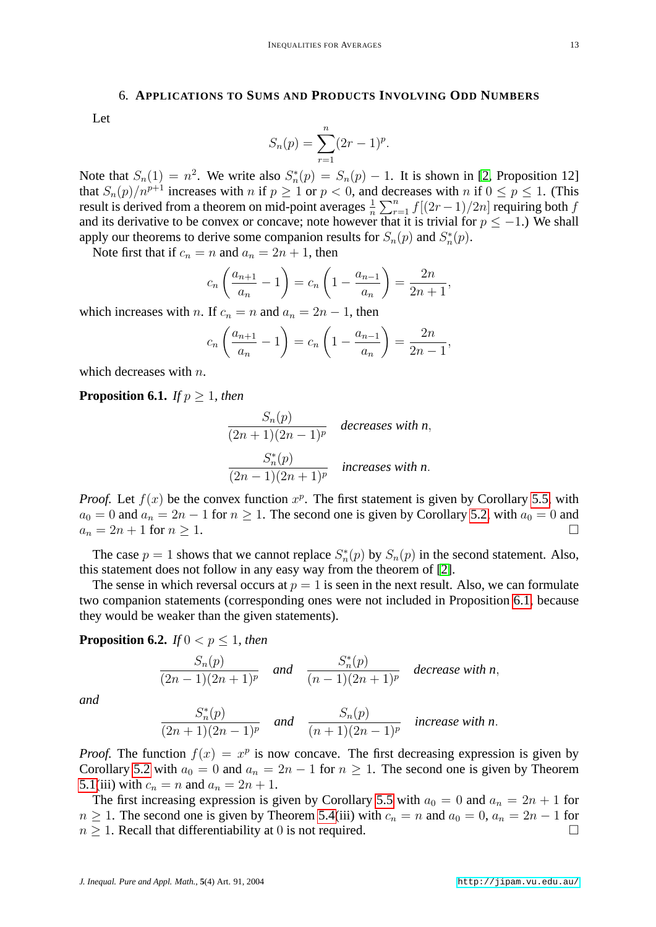#### 6. **APPLICATIONS TO SUMS AND PRODUCTS INVOLVING ODD NUMBERS**

Let

$$
S_n(p) = \sum_{r=1}^n (2r-1)^p.
$$

Note that  $S_n(1) = n^2$ . We write also  $S_n^*(p) = S_n(p) - 1$ . It is shown in [\[2,](#page-13-0) Proposition 12] that  $S_n(p)/n^{p+1}$  increases with n if  $p \ge 1$  or  $p < 0$ , and decreases with n if  $0 \le p \le 1$ . (This result is derived from a theorem on mid-point averages  $\frac{1}{n} \sum_{r=1}^{n} f[(2r-1)/2n]$  requiring both f and its derivative to be convex or concave; note however that it is trivial for  $p \le -1$ .) We shall apply our theorems to derive some companion results for  $S_n(p)$  and  $S_n^*(p)$ .

Note first that if  $c_n = n$  and  $a_n = 2n + 1$ , then

$$
c_n \left( \frac{a_{n+1}}{a_n} - 1 \right) = c_n \left( 1 - \frac{a_{n-1}}{a_n} \right) = \frac{2n}{2n+1},
$$

which increases with *n*. If  $c_n = n$  and  $a_n = 2n - 1$ , then

$$
c_n \left( \frac{a_{n+1}}{a_n} - 1 \right) = c_n \left( 1 - \frac{a_{n-1}}{a_n} \right) = \frac{2n}{2n-1},
$$

<span id="page-12-0"></span>which decreases with  $n$ .

#### **Proposition 6.1.** *If*  $p \geq 1$ *, then*

$$
\frac{S_n(p)}{(2n+1)(2n-1)^p} \quad decreases \text{ with } n,
$$

$$
\frac{S_n^*(p)}{(2n-1)(2n+1)^p} \quad increases \text{ with } n.
$$

*Proof.* Let  $f(x)$  be the convex function  $x^p$ . The first statement is given by Corollary [5.5,](#page-11-0) with  $a_0 = 0$  and  $a_n = 2n - 1$  for  $n \ge 1$ . The second one is given by Corollary [5.2,](#page-9-1) with  $a_0 = 0$  and  $a_n = 2n + 1$  for  $n \geq 1$ .

The case  $p = 1$  shows that we cannot replace  $S_n^*(p)$  by  $S_n(p)$  in the second statement. Also, this statement does not follow in any easy way from the theorem of [\[2\]](#page-13-0).

The sense in which reversal occurs at  $p = 1$  is seen in the next result. Also, we can formulate two companion statements (corresponding ones were not included in Proposition [6.1,](#page-12-0) because they would be weaker than the given statements).

## **Proposition 6.2.** *If*  $0 < p \leq 1$ *, then*

$$
\frac{S_n(p)}{(2n-1)(2n+1)^p}
$$
 and 
$$
\frac{S_n^*(p)}{(n-1)(2n+1)^p}
$$
 decrease with n,

*and*

$$
\frac{S_n^*(p)}{(2n+1)(2n-1)^p}
$$
 and 
$$
\frac{S_n(p)}{(n+1)(2n-1)^p}
$$
 increase with n.

*Proof.* The function  $f(x) = x^p$  is now concave. The first decreasing expression is given by Corollary [5.2](#page-9-1) with  $a_0 = 0$  and  $a_n = 2n - 1$  for  $n \ge 1$ . The second one is given by Theorem [5.1\(](#page-8-0)iii) with  $c_n = n$  and  $a_n = 2n + 1$ .

The first increasing expression is given by Corollary [5.5](#page-11-0) with  $a_0 = 0$  and  $a_n = 2n + 1$  for  $n \geq 1$ . The second one is given by Theorem [5.4\(](#page-10-2)iii) with  $c_n = n$  and  $a_0 = 0$ ,  $a_n = 2n - 1$  for  $n \geq 1$ . Recall that differentiability at 0 is not required.